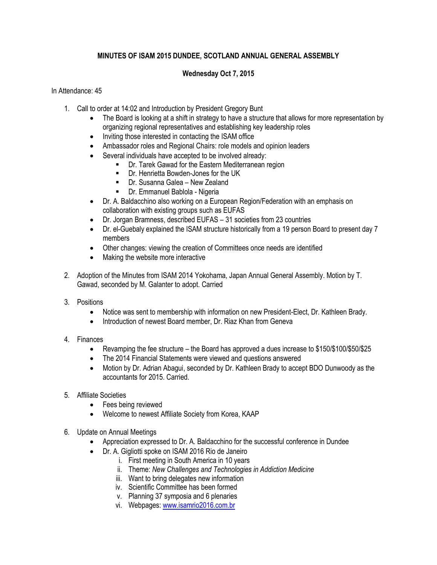## **MINUTES OF ISAM 2015 DUNDEE, SCOTLAND ANNUAL GENERAL ASSEMBLY**

## **Wednesday Oct 7, 2015**

## In Attendance: 45

- 1. Call to order at 14:02 and Introduction by President Gregory Bunt
	- The Board is looking at a shift in strategy to have a structure that allows for more representation by organizing regional representatives and establishing key leadership roles
	- Inviting those interested in contacting the ISAM office
	- Ambassador roles and Regional Chairs: role models and opinion leaders
	- Several individuals have accepted to be involved already:
		- **•** Dr. Tarek Gawad for the Eastern Mediterranean region
		- Dr. Henrietta Bowden-Jones for the UK
		- Dr. Susanna Galea New Zealand
		- **-** Dr. Emmanuel Bablola Nigeria
	- Dr. A. Baldacchino also working on a European Region/Federation with an emphasis on collaboration with existing groups such as EUFAS
	- Dr. Jorgan Bramness, described EUFAS 31 societies from 23 countries
	- Dr. el-Guebaly explained the ISAM structure historically from a 19 person Board to present day 7 members
	- Other changes: viewing the creation of Committees once needs are identified
	- Making the website more interactive
- 2. Adoption of the Minutes from ISAM 2014 Yokohama, Japan Annual General Assembly. Motion by T. Gawad, seconded by M. Galanter to adopt. Carried
- 3. Positions
	- Notice was sent to membership with information on new President-Elect, Dr. Kathleen Brady.
	- Introduction of newest Board member, Dr. Riaz Khan from Geneva
- 4. Finances
	- Revamping the fee structure the Board has approved a dues increase to \$150/\$100/\$50/\$25
	- The 2014 Financial Statements were viewed and questions answered
	- Motion by Dr. Adrian Abagui, seconded by Dr. Kathleen Brady to accept BDO Dunwoody as the accountants for 2015. Carried.
- 5. Affiliate Societies
	- Fees being reviewed
	- Welcome to newest Affiliate Society from Korea, KAAP
- 6. Update on Annual Meetings
	- Appreciation expressed to Dr. A. Baldacchino for the successful conference in Dundee
	- Dr. A. Gigliotti spoke on ISAM 2016 Rio de Janeiro
		- i. First meeting in South America in 10 years
		- ii. Theme: *New Challenges and Technologies in Addiction Medicine*
		- iii. Want to bring delegates new information
		- iv. Scientific Committee has been formed
		- v. Planning 37 symposia and 6 plenaries
		- vi. Webpages: [www.isamrio2016.com.br](http://www.isamrio2016.com.br/)